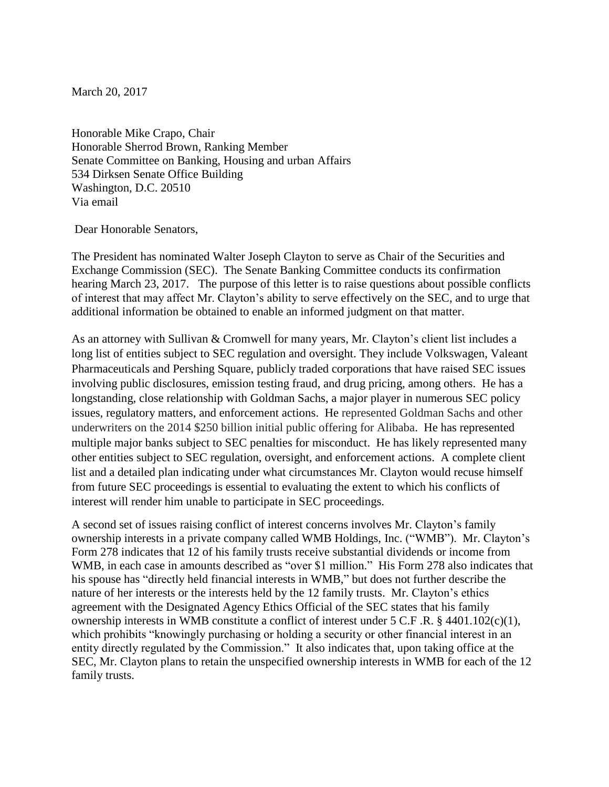March 20, 2017

Honorable Mike Crapo, Chair Honorable Sherrod Brown, Ranking Member Senate Committee on Banking, Housing and urban Affairs 534 Dirksen Senate Office Building Washington, D.C. 20510 Via email

Dear Honorable Senators,

The President has nominated Walter Joseph Clayton to serve as Chair of the Securities and Exchange Commission (SEC). The Senate Banking Committee conducts its confirmation hearing March 23, 2017. The purpose of this letter is to raise questions about possible conflicts of interest that may affect Mr. Clayton's ability to serve effectively on the SEC, and to urge that additional information be obtained to enable an informed judgment on that matter.

As an attorney with Sullivan & Cromwell for many years, Mr. Clayton's client list includes a long list of entities subject to SEC regulation and oversight. They include Volkswagen, Valeant Pharmaceuticals and Pershing Square, publicly traded corporations that have raised SEC issues involving public disclosures, emission testing fraud, and drug pricing, among others. He has a longstanding, close relationship with Goldman Sachs, a major player in numerous SEC policy issues, regulatory matters, and enforcement actions. He represented Goldman Sachs and other underwriters on the 2014 \$250 billion initial public offering for Alibaba. He has represented multiple major banks subject to SEC penalties for misconduct. He has likely represented many other entities subject to SEC regulation, oversight, and enforcement actions. A complete client list and a detailed plan indicating under what circumstances Mr. Clayton would recuse himself from future SEC proceedings is essential to evaluating the extent to which his conflicts of interest will render him unable to participate in SEC proceedings.

A second set of issues raising conflict of interest concerns involves Mr. Clayton's family ownership interests in a private company called WMB Holdings, Inc. ("WMB"). Mr. Clayton's Form 278 indicates that 12 of his family trusts receive substantial dividends or income from WMB, in each case in amounts described as "over \$1 million." His Form 278 also indicates that his spouse has "directly held financial interests in WMB," but does not further describe the nature of her interests or the interests held by the 12 family trusts. Mr. Clayton's ethics agreement with the Designated Agency Ethics Official of the SEC states that his family ownership interests in WMB constitute a conflict of interest under 5 C.F .R. § 4401.102(c)(1), which prohibits "knowingly purchasing or holding a security or other financial interest in an entity directly regulated by the Commission." It also indicates that, upon taking office at the SEC, Mr. Clayton plans to retain the unspecified ownership interests in WMB for each of the 12 family trusts.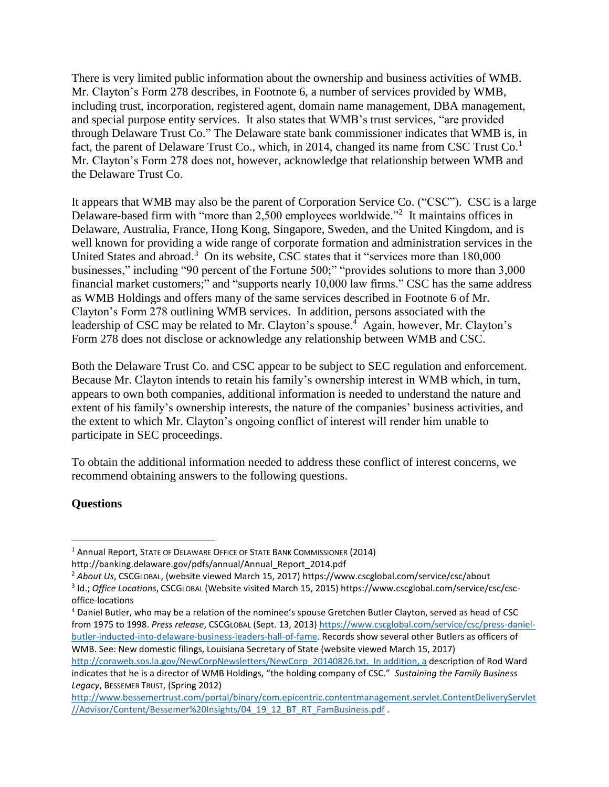There is very limited public information about the ownership and business activities of WMB. Mr. Clayton's Form 278 describes, in Footnote 6, a number of services provided by WMB, including trust, incorporation, registered agent, domain name management, DBA management, and special purpose entity services. It also states that WMB's trust services, "are provided through Delaware Trust Co." The Delaware state bank commissioner indicates that WMB is, in fact, the parent of Delaware Trust Co., which, in 2014, changed its name from CSC Trust Co.<sup>1</sup> Mr. Clayton's Form 278 does not, however, acknowledge that relationship between WMB and the Delaware Trust Co.

It appears that WMB may also be the parent of Corporation Service Co. ("CSC"). CSC is a large Delaware-based firm with "more than 2,500 employees worldwide."<sup>2</sup> It maintains offices in Delaware, Australia, France, Hong Kong, Singapore, Sweden, and the United Kingdom, and is well known for providing a wide range of corporate formation and administration services in the United States and abroad.<sup>3</sup> On its website, CSC states that it "services more than 180,000 businesses," including "90 percent of the Fortune 500;" "provides solutions to more than 3,000 financial market customers;" and "supports nearly 10,000 law firms." CSC has the same address as WMB Holdings and offers many of the same services described in Footnote 6 of Mr. Clayton's Form 278 outlining WMB services. In addition, persons associated with the leadership of CSC may be related to Mr. Clayton's spouse.<sup>4</sup> Again, however, Mr. Clayton's Form 278 does not disclose or acknowledge any relationship between WMB and CSC.

Both the Delaware Trust Co. and CSC appear to be subject to SEC regulation and enforcement. Because Mr. Clayton intends to retain his family's ownership interest in WMB which, in turn, appears to own both companies, additional information is needed to understand the nature and extent of his family's ownership interests, the nature of the companies' business activities, and the extent to which Mr. Clayton's ongoing conflict of interest will render him unable to participate in SEC proceedings.

To obtain the additional information needed to address these conflict of interest concerns, we recommend obtaining answers to the following questions.

## **Questions**

 $\overline{\phantom{a}}$ 

<sup>4</sup> Daniel Butler, who may be a relation of the nominee's spouse Gretchen Butler Clayton, served as head of CSC from 1975 to 1998. *Press release*, CSCGLOBAL (Sept. 13, 2013) [https://www.cscglobal.com/service/csc/press-daniel](https://www.cscglobal.com/service/csc/press-daniel-butler-inducted-into-delaware-business-leaders-hall-of-fame)[butler-inducted-into-delaware-business-leaders-hall-of-fame.](https://www.cscglobal.com/service/csc/press-daniel-butler-inducted-into-delaware-business-leaders-hall-of-fame) Records show several other Butlers as officers of WMB. See: New domestic filings, Louisiana Secretary of State (website viewed March 15, 2017)

[http://coraweb.sos.la.gov/NewCorpNewsletters/NewCorp\\_20140826.txt.](http://coraweb.sos.la.gov/NewCorpNewsletters/NewCorp_20140826.txt) In addition, a description of Rod Ward indicates that he is a director of WMB Holdings, "the holding company of CSC." *Sustaining the Family Business Legacy*, BESSEMER TRUST, (Spring 2012)

<sup>&</sup>lt;sup>1</sup> Annual Report, STATE OF DELAWARE OFFICE OF STATE BANK COMMISSIONER (2014)

http://banking.delaware.gov/pdfs/annual/Annual\_Report\_2014.pdf

<sup>2</sup> *About Us*, CSCGLOBAL, (website viewed March 15, 2017) https://www.cscglobal.com/service/csc/about

<sup>3</sup> Id.; *Office Locations*, CSCGLOBAL (Website visited March 15, 2015) https://www.cscglobal.com/service/csc/cscoffice-locations

[http://www.bessemertrust.com/portal/binary/com.epicentric.contentmanagement.servlet.ContentDeliveryServlet](http://www.bessemertrust.com/portal/binary/com.epicentric.contentmanagement.servlet.ContentDeliveryServlet/Advisor/Content/Bessemer%20Insights/04_19_12_BT_RT_FamBusiness.pdf) [//Advisor/Content/Bessemer%20Insights/04\\_19\\_12\\_BT\\_RT\\_FamBusiness.pdf](http://www.bessemertrust.com/portal/binary/com.epicentric.contentmanagement.servlet.ContentDeliveryServlet/Advisor/Content/Bessemer%20Insights/04_19_12_BT_RT_FamBusiness.pdf) .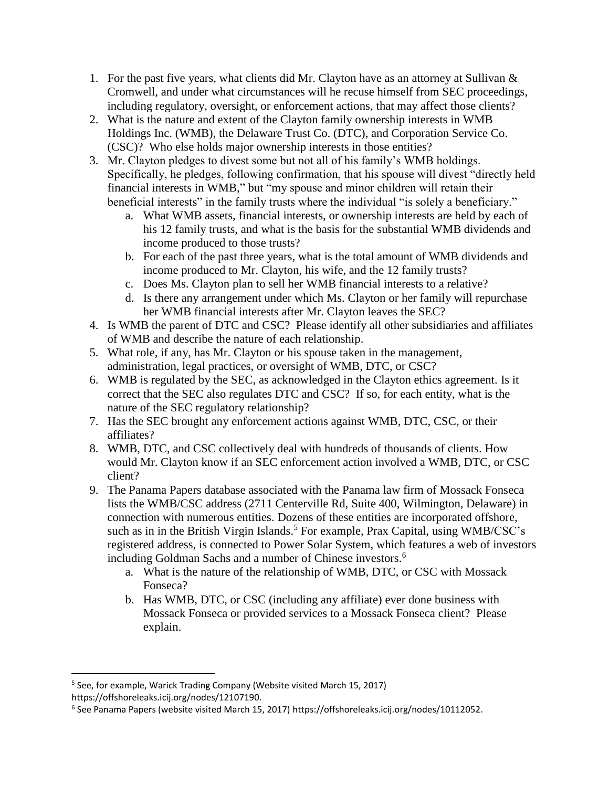- 1. For the past five years, what clients did Mr. Clayton have as an attorney at Sullivan & Cromwell, and under what circumstances will he recuse himself from SEC proceedings, including regulatory, oversight, or enforcement actions, that may affect those clients?
- 2. What is the nature and extent of the Clayton family ownership interests in WMB Holdings Inc. (WMB), the Delaware Trust Co. (DTC), and Corporation Service Co. (CSC)? Who else holds major ownership interests in those entities?
- 3. Mr. Clayton pledges to divest some but not all of his family's WMB holdings. Specifically, he pledges, following confirmation, that his spouse will divest "directly held financial interests in WMB," but "my spouse and minor children will retain their beneficial interests" in the family trusts where the individual "is solely a beneficiary."
	- a. What WMB assets, financial interests, or ownership interests are held by each of his 12 family trusts, and what is the basis for the substantial WMB dividends and income produced to those trusts?
	- b. For each of the past three years, what is the total amount of WMB dividends and income produced to Mr. Clayton, his wife, and the 12 family trusts?
	- c. Does Ms. Clayton plan to sell her WMB financial interests to a relative?
	- d. Is there any arrangement under which Ms. Clayton or her family will repurchase her WMB financial interests after Mr. Clayton leaves the SEC?
- 4. Is WMB the parent of DTC and CSC? Please identify all other subsidiaries and affiliates of WMB and describe the nature of each relationship.
- 5. What role, if any, has Mr. Clayton or his spouse taken in the management, administration, legal practices, or oversight of WMB, DTC, or CSC?
- 6. WMB is regulated by the SEC, as acknowledged in the Clayton ethics agreement. Is it correct that the SEC also regulates DTC and CSC? If so, for each entity, what is the nature of the SEC regulatory relationship?
- 7. Has the SEC brought any enforcement actions against WMB, DTC, CSC, or their affiliates?
- 8. WMB, DTC, and CSC collectively deal with hundreds of thousands of clients. How would Mr. Clayton know if an SEC enforcement action involved a WMB, DTC, or CSC client?
- 9. The Panama Papers database associated with the Panama law firm of Mossack Fonseca lists the WMB/CSC address (2711 Centerville Rd, Suite 400, Wilmington, Delaware) in connection with numerous entities. Dozens of these entities are incorporated offshore, such as in in the British Virgin Islands.<sup>5</sup> For example, Prax Capital, using  $WMB/CSC's$ registered address, is connected to Power Solar System, which features a web of investors including Goldman Sachs and a number of Chinese investors.<sup>6</sup>
	- a. What is the nature of the relationship of WMB, DTC, or CSC with Mossack Fonseca?
	- b. Has WMB, DTC, or CSC (including any affiliate) ever done business with Mossack Fonseca or provided services to a Mossack Fonseca client? Please explain.

 $\overline{\phantom{a}}$ 

<sup>&</sup>lt;sup>5</sup> See, for example, Warick Trading Company (Website visited March 15, 2017) https://offshoreleaks.icij.org/nodes/12107190.

<sup>6</sup> See Panama Papers (website visited March 15, 2017) https://offshoreleaks.icij.org/nodes/10112052.